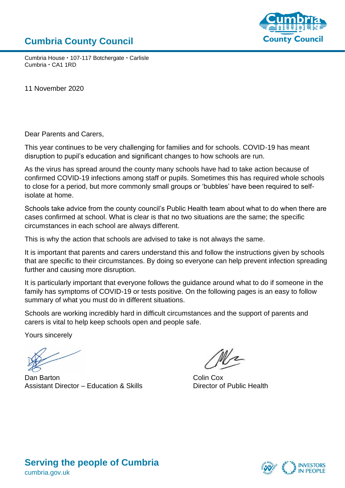#### **Cumbria County Council**



Cumbria House · 107-117 Botchergate · Carlisle Cumbria · CA1 1RD

11 November 2020

Dear Parents and Carers,

This year continues to be very challenging for families and for schools. COVID-19 has meant disruption to pupil's education and significant changes to how schools are run.

As the virus has spread around the county many schools have had to take action because of confirmed COVID-19 infections among staff or pupils. Sometimes this has required whole schools to close for a period, but more commonly small groups or 'bubbles' have been required to selfisolate at home.

Schools take advice from the county council's Public Health team about what to do when there are cases confirmed at school. What is clear is that no two situations are the same; the specific circumstances in each school are always different.

This is why the action that schools are advised to take is not always the same.

It is important that parents and carers understand this and follow the instructions given by schools that are specific to their circumstances. By doing so everyone can help prevent infection spreading further and causing more disruption.

It is particularly important that everyone follows the guidance around what to do if someone in the family has symptoms of COVID-19 or tests positive. On the following pages is an easy to follow summary of what you must do in different situations.

Schools are working incredibly hard in difficult circumstances and the support of parents and carers is vital to help keep schools open and people safe.

Yours sincerely

Dan Barton **Colin Cox** Assistant Director – Education & Skills Director of Public Health



#### **Serving the people of Cumbria** cumbria.gov.uk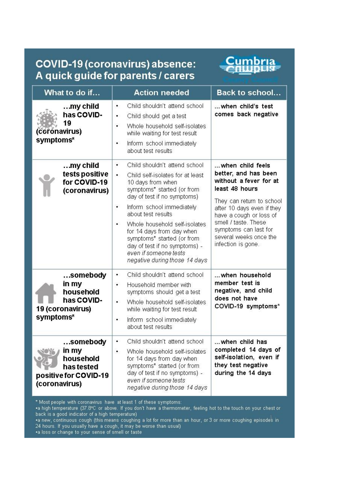## **COVID-19 (coronavirus) absence:** A quick guide for parents / carers

# Cumbria

| What to do if                                                                          | <b>Action needed</b>                                                                                                                                                                                                                                                                                                                                                                                              | <b>Back to school</b>                                                                                                                                                                                                                                                       |
|----------------------------------------------------------------------------------------|-------------------------------------------------------------------------------------------------------------------------------------------------------------------------------------------------------------------------------------------------------------------------------------------------------------------------------------------------------------------------------------------------------------------|-----------------------------------------------------------------------------------------------------------------------------------------------------------------------------------------------------------------------------------------------------------------------------|
| $$ my child<br>has COVID-<br>19<br>(coronavirus)<br>symptoms*                          | Child shouldn't attend school<br>٠<br>Child should get a test<br>٠<br>Whole household self-isolates<br>۰<br>while waiting for test result<br>Inform school immediately<br>۰<br>about test results                                                                                                                                                                                                                 | when child's test<br>comes back negative                                                                                                                                                                                                                                    |
| $$ my child<br>tests positive<br>for COVID-19<br>(coronavirus)                         | Child shouldn't attend school<br>٠<br>Child self-isolates for at least<br>٠<br>10 days from when<br>symptoms* started (or from<br>day of test if no symptoms)<br>Inform school immediately<br>٠<br>about test results<br>Whole household self-isolates<br>۰<br>for 14 days from day when<br>symptoms* started (or from<br>day of test if no symptoms) -<br>even if someone tests<br>negative during those 14 days | when child feels<br>better, and has been<br>without a fever for at<br>least 48 hours<br>They can return to school<br>after 10 days even if they<br>have a cough or loss of<br>smell / taste. These<br>symptoms can last for<br>several weeks once the<br>infection is gone. |
| somebody<br>in my<br>household<br>has COVID-<br>19 (coronavirus)<br>symptoms*          | Child shouldn't attend school<br>٠<br>Household member with<br>٠<br>symptoms should get a test<br>Whole household self-isolates<br>٠<br>while waiting for test result<br>Inform school immediately<br>٠<br>about test results                                                                                                                                                                                     | when household<br>member test is<br>negative, and child<br>does not have<br>COVID-19 symptoms*                                                                                                                                                                              |
| somebody<br>in my<br>household<br>has tested<br>positive for COVID-19<br>(coronavirus) | Child shouldn't attend school<br>Whole household self-isolates<br>٠<br>for 14 days from day when<br>symptoms* started (or from<br>day of test if no symptoms) -<br>even if someone tests<br>negative during those 14 days                                                                                                                                                                                         | when child has<br>completed 14 days of<br>self-isolation, even if<br>they test negative<br>during the 14 days                                                                                                                                                               |

\* Most people with coronavirus have at least 1 of these symptoms:<br>•a high temperature (37.8°C or above. If you don't have a thermometer, feeling hot to the touch on your chest or back is a good indicator of a high temperature)

**COVERTS a good monetion of a might temperature)**<br>• a new, continuous cough (this means coughing a lot for more than an hour, or 3 or more coughing episodes in<br>• a loss or change to your sense of smell or taste